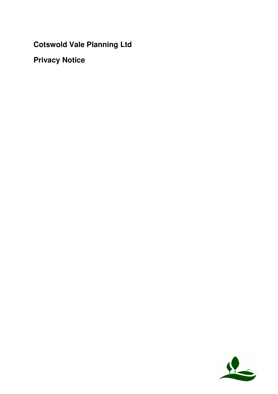**Cotswold Vale Planning Ltd**

**Privacy Notice**

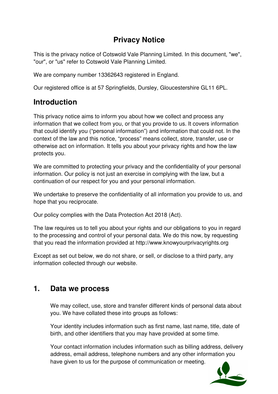## **Privacy Notice**

This is the privacy notice of Cotswold Vale Planning Limited. In this document, "we", "our", or "us" refer to Cotswold Vale Planning Limited.

We are company number 13362643 registered in England.

Our registered office is at 57 Springfields, Dursley, Gloucestershire GL11 6PL.

# **Introduction**

This privacy notice aims to inform you about how we collect and process any information that we collect from you, or that you provide to us. It covers information that could identify you ("personal information") and information that could not. In the context of the law and this notice, "process" means collect, store, transfer, use or otherwise act on information. It tells you about your privacy rights and how the law protects you.

We are committed to protecting your privacy and the confidentiality of your personal information. Our policy is not just an exercise in complying with the law, but a continuation of our respect for you and your personal information.

We undertake to preserve the confidentiality of all information you provide to us, and hope that you reciprocate.

Our policy complies with the Data Protection Act 2018 (Act).

The law requires us to tell you about your rights and our obligations to you in regard to the processing and control of your personal data. We do this now, by requesting that you read the information provided at http://www.knowyourprivacyrights.org

Except as set out below, we do not share, or sell, or disclose to a third party, any information collected through our website.

### **1. Data we process**

We may collect, use, store and transfer different kinds of personal data about you. We have collated these into groups as follows:

Your identity includes information such as first name, last name, title, date of birth, and other identifiers that you may have provided at some time.

Your contact information includes information such as billing address, delivery address, email address, telephone numbers and any other information you have given to us for the purpose of communication or meeting.

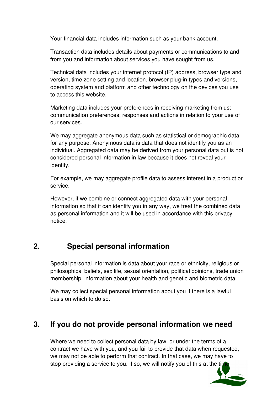Your financial data includes information such as your bank account.

Transaction data includes details about payments or communications to and from you and information about services you have sought from us.

Technical data includes your internet protocol (IP) address, browser type and version, time zone setting and location, browser plug-in types and versions, operating system and platform and other technology on the devices you use to access this website.

Marketing data includes your preferences in receiving marketing from us; communication preferences; responses and actions in relation to your use of our services.

We may aggregate anonymous data such as statistical or demographic data for any purpose. Anonymous data is data that does not identify you as an individual. Aggregated data may be derived from your personal data but is not considered personal information in law because it does not reveal your identity.

For example, we may aggregate profile data to assess interest in a product or service.

However, if we combine or connect aggregated data with your personal information so that it can identify you in any way, we treat the combined data as personal information and it will be used in accordance with this privacy notice.

## **2. Special personal information**

Special personal information is data about your race or ethnicity, religious or philosophical beliefs, sex life, sexual orientation, political opinions, trade union membership, information about your health and genetic and biometric data.

We may collect special personal information about you if there is a lawful basis on which to do so.

### **3. If you do not provide personal information we need**

Where we need to collect personal data by law, or under the terms of a contract we have with you, and you fail to provide that data when requested, we may not be able to perform that contract. In that case, we may have to stop providing a service to you. If so, we will notify you of this at the time

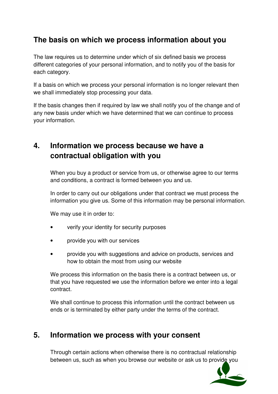## **The basis on which we process information about you**

The law requires us to determine under which of six defined basis we process different categories of your personal information, and to notify you of the basis for each category.

If a basis on which we process your personal information is no longer relevant then we shall immediately stop processing your data.

If the basis changes then if required by law we shall notify you of the change and of any new basis under which we have determined that we can continue to process your information.

## **4. Information we process because we have a contractual obligation with you**

When you buy a product or service from us, or otherwise agree to our terms and conditions, a contract is formed between you and us.

In order to carry out our obligations under that contract we must process the information you give us. Some of this information may be personal information.

We may use it in order to:

- verify your identity for security purposes
- provide you with our services
- provide you with suggestions and advice on products, services and how to obtain the most from using our website

We process this information on the basis there is a contract between us, or that you have requested we use the information before we enter into a legal contract.

We shall continue to process this information until the contract between us ends or is terminated by either party under the terms of the contract.

### **5. Information we process with your consent**

Through certain actions when otherwise there is no contractual relationship between us, such as when you browse our website or ask us to provide you

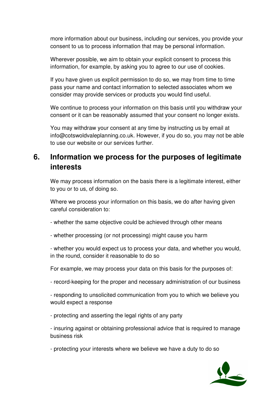more information about our business, including our services, you provide your consent to us to process information that may be personal information.

Wherever possible, we aim to obtain your explicit consent to process this information, for example, by asking you to agree to our use of cookies.

If you have given us explicit permission to do so, we may from time to time pass your name and contact information to selected associates whom we consider may provide services or products you would find useful.

We continue to process your information on this basis until you withdraw your consent or it can be reasonably assumed that your consent no longer exists.

You may withdraw your consent at any time by instructing us by email at info@cotswoldvaleplanning.co.uk. However, if you do so, you may not be able to use our website or our services further.

## **6. Information we process for the purposes of legitimate interests**

We may process information on the basis there is a legitimate interest, either to you or to us, of doing so.

Where we process your information on this basis, we do after having given careful consideration to:

- whether the same objective could be achieved through other means

- whether processing (or not processing) might cause you harm

- whether you would expect us to process your data, and whether you would, in the round, consider it reasonable to do so

For example, we may process your data on this basis for the purposes of:

- record-keeping for the proper and necessary administration of our business

- responding to unsolicited communication from you to which we believe you would expect a response

- protecting and asserting the legal rights of any party

- insuring against or obtaining professional advice that is required to manage business risk

- protecting your interests where we believe we have a duty to do so

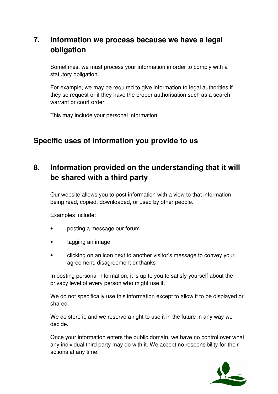# **7. Information we process because we have a legal obligation**

Sometimes, we must process your information in order to comply with a statutory obligation.

For example, we may be required to give information to legal authorities if they so request or if they have the proper authorisation such as a search warrant or court order.

This may include your personal information.

## **Specific uses of information you provide to us**

# **8. Information provided on the understanding that it will be shared with a third party**

Our website allows you to post information with a view to that information being read, copied, downloaded, or used by other people.

Examples include:

- posting a message our forum
- tagging an image
- clicking on an icon next to another visitor's message to convey your agreement, disagreement or thanks

In posting personal information, it is up to you to satisfy yourself about the privacy level of every person who might use it.

We do not specifically use this information except to allow it to be displayed or shared.

We do store it, and we reserve a right to use it in the future in any way we decide.

Once your information enters the public domain, we have no control over what any individual third party may do with it. We accept no responsibility for their actions at any time.

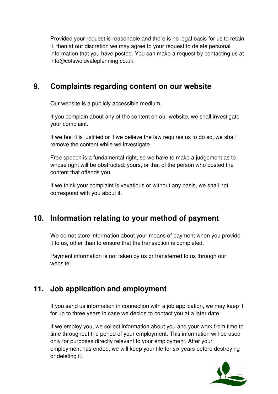Provided your request is reasonable and there is no legal basis for us to retain it, then at our discretion we may agree to your request to delete personal information that you have posted. You can make a request by contacting us at info@cotswoldvaleplanning.co.uk.

## **9. Complaints regarding content on our website**

Our website is a publicly accessible medium.

If you complain about any of the content on our website, we shall investigate your complaint.

If we feel it is justified or if we believe the law requires us to do so, we shall remove the content while we investigate.

Free speech is a fundamental right, so we have to make a judgement as to whose right will be obstructed: yours, or that of the person who posted the content that offends you.

If we think your complaint is vexatious or without any basis, we shall not correspond with you about it.

## **10. Information relating to your method of payment**

We do not store information about your means of payment when you provide it to us, other than to ensure that the transaction is completed.

Payment information is not taken by us or transferred to us through our website.

## **11. Job application and employment**

If you send us information in connection with a job application, we may keep it for up to three years in case we decide to contact you at a later date.

If we employ you, we collect information about you and your work from time to time throughout the period of your employment. This information will be used only for purposes directly relevant to your employment. After your employment has ended, we will keep your file for six years before destroying or deleting it.

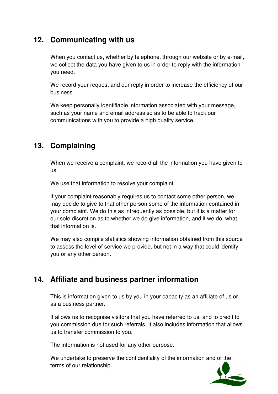## **12. Communicating with us**

When you contact us, whether by telephone, through our website or by e-mail, we collect the data you have given to us in order to reply with the information you need.

We record your request and our reply in order to increase the efficiency of our business.

We keep personally identifiable information associated with your message, such as your name and email address so as to be able to track our communications with you to provide a high quality service.

# **13. Complaining**

When we receive a complaint, we record all the information you have given to us.

We use that information to resolve your complaint.

If your complaint reasonably requires us to contact some other person, we may decide to give to that other person some of the information contained in your complaint. We do this as infrequently as possible, but it is a matter for our sole discretion as to whether we do give information, and if we do, what that information is.

We may also compile statistics showing information obtained from this source to assess the level of service we provide, but not in a way that could identify you or any other person.

## **14. Affiliate and business partner information**

This is information given to us by you in your capacity as an affiliate of us or as a business partner.

It allows us to recognise visitors that you have referred to us, and to credit to you commission due for such referrals. It also includes information that allows us to transfer commission to you.

The information is not used for any other purpose.

We undertake to preserve the confidentiality of the information and of the terms of our relationship.

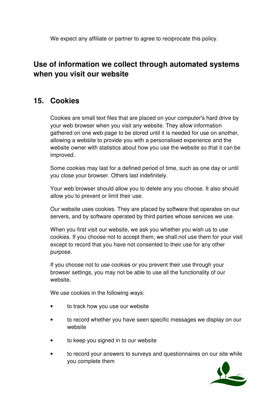We expect any affiliate or partner to agree to reciprocate this policy.

## **Use of information we collect through automated systems when you visit our website**

## **15. Cookies**

Cookies are small text files that are placed on your computer's hard drive by your web browser when you visit any website. They allow information gathered on one web page to be stored until it is needed for use on another, allowing a website to provide you with a personalised experience and the website owner with statistics about how you use the website so that it can be improved.

Some cookies may last for a defined period of time, such as one day or until you close your browser. Others last indefinitely.

Your web browser should allow you to delete any you choose. It also should allow you to prevent or limit their use.

Our website uses cookies. They are placed by software that operates on our servers, and by software operated by third parties whose services we use.

When you first visit our website, we ask you whether you wish us to use cookies. If you choose not to accept them, we shall not use them for your visit except to record that you have not consented to their use for any other purpose.

If you choose not to use cookies or you prevent their use through your browser settings, you may not be able to use all the functionality of our website.

We use cookies in the following ways:

- to track how you use our website
- to record whether you have seen specific messages we display on our website
- to keep you signed in to our website
- to record your answers to surveys and questionnaires on our site while you complete them

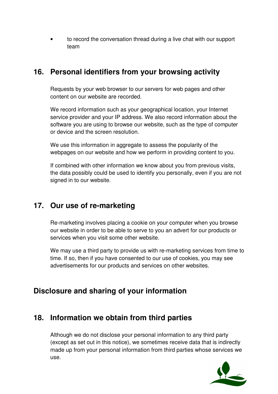• to record the conversation thread during a live chat with our support team

## **16. Personal identifiers from your browsing activity**

Requests by your web browser to our servers for web pages and other content on our website are recorded.

We record information such as your geographical location, your Internet service provider and your IP address. We also record information about the software you are using to browse our website, such as the type of computer or device and the screen resolution.

We use this information in aggregate to assess the popularity of the webpages on our website and how we perform in providing content to you.

If combined with other information we know about you from previous visits, the data possibly could be used to identify you personally, even if you are not signed in to our website.

### **17. Our use of re-marketing**

Re-marketing involves placing a cookie on your computer when you browse our website in order to be able to serve to you an advert for our products or services when you visit some other website.

We may use a third party to provide us with re-marketing services from time to time. If so, then if you have consented to our use of cookies, you may see advertisements for our products and services on other websites.

## **Disclosure and sharing of your information**

### **18. Information we obtain from third parties**

Although we do not disclose your personal information to any third party (except as set out in this notice), we sometimes receive data that is indirectly made up from your personal information from third parties whose services we use.

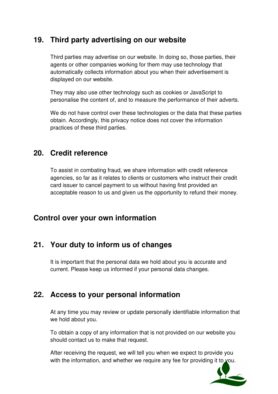## **19. Third party advertising on our website**

Third parties may advertise on our website. In doing so, those parties, their agents or other companies working for them may use technology that automatically collects information about you when their advertisement is displayed on our website.

They may also use other technology such as cookies or JavaScript to personalise the content of, and to measure the performance of their adverts.

We do not have control over these technologies or the data that these parties obtain. Accordingly, this privacy notice does not cover the information practices of these third parties.

### **20. Credit reference**

To assist in combating fraud, we share information with credit reference agencies, so far as it relates to clients or customers who instruct their credit card issuer to cancel payment to us without having first provided an acceptable reason to us and given us the opportunity to refund their money.

### **Control over your own information**

## **21. Your duty to inform us of changes**

It is important that the personal data we hold about you is accurate and current. Please keep us informed if your personal data changes.

### **22. Access to your personal information**

At any time you may review or update personally identifiable information that we hold about you.

To obtain a copy of any information that is not provided on our website you should contact us to make that request.

After receiving the request, we will tell you when we expect to provide you with the information, and whether we require any fee for providing it to you.

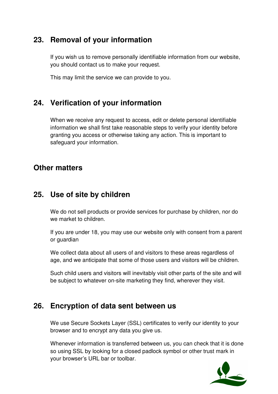## **23. Removal of your information**

If you wish us to remove personally identifiable information from our website, you should contact us to make your request.

This may limit the service we can provide to you.

## **24. Verification of your information**

When we receive any request to access, edit or delete personal identifiable information we shall first take reasonable steps to verify your identity before granting you access or otherwise taking any action. This is important to safeguard your information.

#### **Other matters**

### **25. Use of site by children**

We do not sell products or provide services for purchase by children, nor do we market to children.

If you are under 18, you may use our website only with consent from a parent or guardian

We collect data about all users of and visitors to these areas regardless of age, and we anticipate that some of those users and visitors will be children.

Such child users and visitors will inevitably visit other parts of the site and will be subject to whatever on-site marketing they find, wherever they visit.

### **26. Encryption of data sent between us**

We use Secure Sockets Layer (SSL) certificates to verify our identity to your browser and to encrypt any data you give us.

Whenever information is transferred between us, you can check that it is done so using SSL by looking for a closed padlock symbol or other trust mark in your browser's URL bar or toolbar.

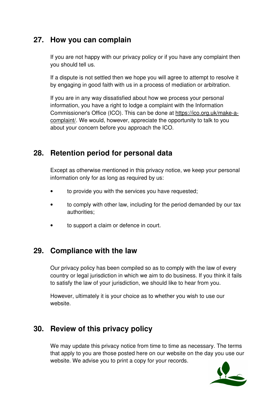## **27. How you can complain**

If you are not happy with our privacy policy or if you have any complaint then you should tell us.

If a dispute is not settled then we hope you will agree to attempt to resolve it by engaging in good faith with us in a process of mediation or arbitration.

If you are in any way dissatisfied about how we process your personal information, you have a right to lodge a complaint with the Information Commissioner's Office (ICO). This can be done at https://ico.org.uk/make-acomplaint/. We would, however, appreciate the opportunity to talk to you about your concern before you approach the ICO.

## **28. Retention period for personal data**

Except as otherwise mentioned in this privacy notice, we keep your personal information only for as long as required by us:

- to provide you with the services you have requested;
- to comply with other law, including for the period demanded by our tax authorities;
- to support a claim or defence in court.

### **29. Compliance with the law**

Our privacy policy has been compiled so as to comply with the law of every country or legal jurisdiction in which we aim to do business. If you think it fails to satisfy the law of your jurisdiction, we should like to hear from you.

However, ultimately it is your choice as to whether you wish to use our website.

### **30. Review of this privacy policy**

We may update this privacy notice from time to time as necessary. The terms that apply to you are those posted here on our website on the day you use our website. We advise you to print a copy for your records.